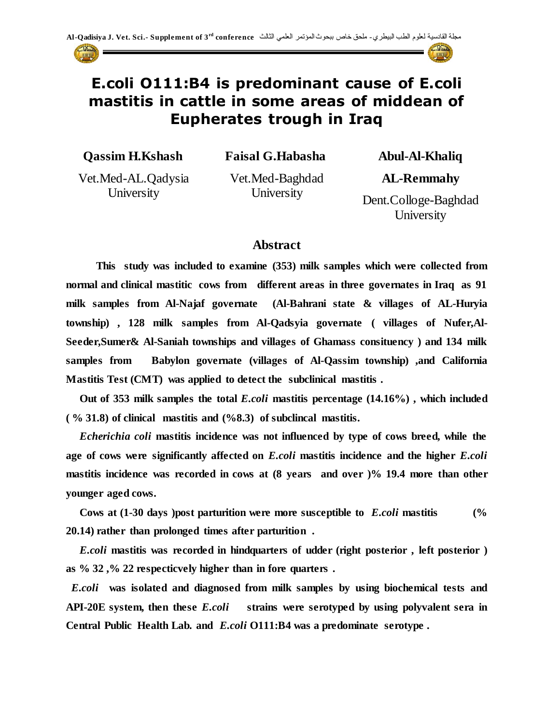

# **E.coli O111:B4 is predominant cause of E.coli mastitis in cattle in some areas of middean of Eupherates trough in Iraq**

**Qassim H.Kshash**

**Faisal G.Habasha**

Vet.Med-AL.Qadysia **University** 

Vet.Med-Baghdad **University** 

**Abul-Al-Khaliq**

**AL-Remmahy**

Dent.Colloge-Baghdad **University** 

#### **Abstract**

 **This study was included to examine (353) milk samples which were collected from normal and clinical mastitic cows from different areas in three governates in Iraq as 91 milk samples from Al-Najaf governate (Al-Bahrani state & villages of AL-Huryia township) , 128 milk samples from Al-Qadsyia governate ( villages of Nufer,Al-Seeder,Sumer& Al-Saniah townships and villages of Ghamass consituency ) and 134 milk samples from Babylon governate (villages of Al-Qassim township) ,and California Mastitis Test (CMT) was applied to detect the subclinical mastitis .**

 **Out of 353 milk samples the total** *E.coli* **mastitis percentage (14.16%) , which included ( % 31.8) of clinical mastitis and (%8.3) of subclincal mastitis.**

 *Echerichia coli* **mastitis incidence was not influenced by type of cows breed, while the age of cows were significantly affected on** *E.coli* **mastitis incidence and the higher** *E.coli*  **mastitis incidence was recorded in cows at (8 years and over )% 19.4 more than other younger aged cows.**

 **Cows at (1-30 days )post parturition were more susceptible to** *E.coli* **mastitis (% 20.14) rather than prolonged times after parturition .**

 *E.coli* **mastitis was recorded in hindquarters of udder (right posterior , left posterior ) as % 32 ,% 22 respecticvely higher than in fore quarters .**

*E.coli* **was isolated and diagnosed from milk samples by using biochemical tests and API-20E system, then these** *E.coli* **strains were serotyped by using polyvalent sera in Central Public Health Lab. and** *E.coli* **O111:B4 was a predominate serotype .**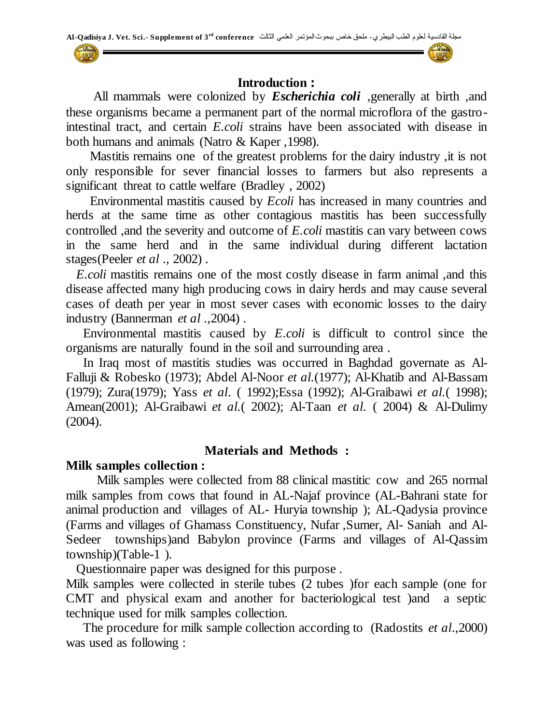

 All mammals were colonized by *Escherichia coli* ,generally at birth ,and these organisms became a permanent part of the normal microflora of the gastrointestinal tract, and certain *E.coli* strains have been associated with disease in both humans and animals (Natro & Kaper ,1998).

 Mastitis remains one of the greatest problems for the dairy industry ,it is not only responsible for sever financial losses to farmers but also represents a significant threat to cattle welfare (Bradley , 2002)

 Environmental mastitis caused by *Ecoli* has increased in many countries and herds at the same time as other contagious mastitis has been successfully controlled ,and the severity and outcome of *E.coli* mastitis can vary between cows in the same herd and in the same individual during different lactation stages(Peeler *et al* ., 2002) .

 *E.coli* mastitis remains one of the most costly disease in farm animal ,and this disease affected many high producing cows in dairy herds and may cause several cases of death per year in most sever cases with economic losses to the dairy industry (Bannerman *et al* .,2004) .

 Environmental mastitis caused by *E.coli* is difficult to control since the organisms are naturally found in the soil and surrounding area .

 In Iraq most of mastitis studies was occurred in Baghdad governate as Al-Falluji & Robesko (1973); Abdel Al-Noor *et al.*(1977); Al-Khatib and Al-Bassam (1979); Zura(1979); Yass *et al*. ( 1992);Essa (1992); Al-Graibawi *et al.*( 1998); Amean(2001); Al-Graibawi *et al.*( 2002); Al-Taan *et al.* ( 2004) & Al-Dulimy (2004).

#### **Materials and Methods :**

#### **Milk samples collection :**

 Milk samples were collected from 88 clinical mastitic cow and 265 normal milk samples from cows that found in AL-Najaf province (AL-Bahrani state for animal production and villages of AL- Huryia township ); AL-Qadysia province (Farms and villages of Ghamass Constituency, Nufar ,Sumer, Al- Saniah and Al-Sedeer townships)and Babylon province (Farms and villages of Al-Qassim township)(Table-1 ).

Questionnaire paper was designed for this purpose .

Milk samples were collected in sterile tubes (2 tubes )for each sample (one for CMT and physical exam and another for bacteriological test )and a septic technique used for milk samples collection.

 The procedure for milk sample collection according to (Radostits *et al*.,2000) was used as following :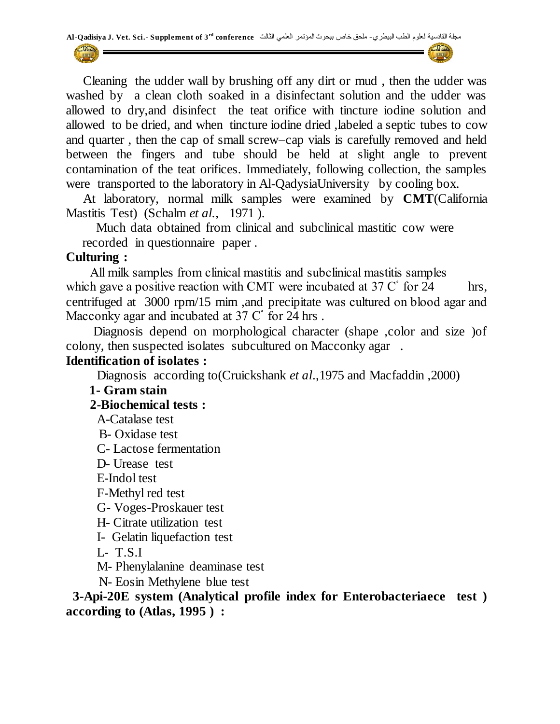

 Cleaning the udder wall by brushing off any dirt or mud , then the udder was washed by a clean cloth soaked in a disinfectant solution and the udder was allowed to dry,and disinfect the teat orifice with tincture iodine solution and allowed to be dried, and when tincture iodine dried ,labeled a septic tubes to cow and quarter , then the cap of small screw–cap vials is carefully removed and held between the fingers and tube should be held at slight angle to prevent contamination of the teat orifices. Immediately, following collection, the samples were transported to the laboratory in Al-QadysiaUniversity by cooling box.

 At laboratory, normal milk samples were examined by **CMT**(California Mastitis Test) (Schalm *et al.,* 1971 ).

 Much data obtained from clinical and subclinical mastitic cow were recorded in questionnaire paper .

#### **Culturing :**

All milk samples from clinical mastitis and subclinical mastitis samples which gave a positive reaction with CMT were incubated at  $37 \text{ C}^{\circ}$  for 24 hrs, centrifuged at 3000 rpm/15 mim, and precipitate was cultured on blood agar and Macconky agar and incubated at  $37 \text{ C}^{\circ}$  for 24 hrs.

Diagnosis depend on morphological character (shape ,color and size ) of colony, then suspected isolates subcultured on Macconky agar .

#### **Identification of isolates :**

Diagnosis according to(Cruickshank *et al*.,1975 and Macfaddin ,2000)

## **1- Gram stain**

## **2-Biochemical tests :**

- A-Catalase test
- B- Oxidase test
- C- Lactose fermentation
- D- Urease test
- E-Indol test
- F-Methyl red test
- G- Voges-Proskauer test
- H- Citrate utilization test
- I- Gelatin liquefaction test
- L- T.S.I
- M- Phenylalanine deaminase test
- N- Eosin Methylene blue test

 **3-Api-20E system (Analytical profile index for Enterobacteriaece test ) according to (Atlas, 1995 ) :**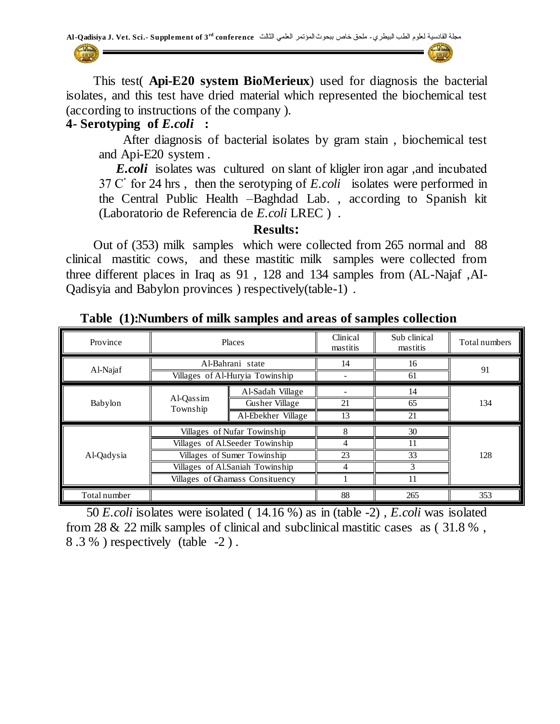This test( **Api-E20 system BioMerieux**) used for diagnosis the bacterial isolates, and this test have dried material which represented the biochemical test (according to instructions of the company ).

#### **4- Serotyping of** *E.coli* **:**

 After diagnosis of bacterial isolates by gram stain , biochemical test and Api-E20 system .

*E.coli* isolates was cultured on slant of kligler iron agar, and incubated 24 hrs , then the serotyping of *E.coli*isolates were performed in the Central Public Health –Baghdad Lab. , according to Spanish kit (Laboratorio de Referencia de *E.coli* LREC ) .

**Results:**

 Out of (353) milk samples which were collected from 265 normal and 88 clinical mastitic cows, and these mastitic milk samples were collected from three different places in Iraq as 91 , 128 and 134 samples from (AL-Najaf ,AI-Qadisyia and Babylon provinces ) respectively(table-1) .

| Province                        | Places                |                                 | Clinical<br>mastitis | Sub clinical<br>mastitis | Total numbers |  |
|---------------------------------|-----------------------|---------------------------------|----------------------|--------------------------|---------------|--|
| Al-Najaf                        |                       | Al-Bahrani state                | 14                   | 16                       | 91            |  |
|                                 |                       | Villages of Al-Huryia Towinship |                      | 61                       |               |  |
|                                 |                       | Al-Sadah Village                |                      | 14                       |               |  |
| Babylon                         | Al-Qassim<br>Township | Gusher Village                  | 21                   | 65                       | 134           |  |
|                                 |                       | Al-Ebekher Village              | 13                   | 21                       |               |  |
|                                 |                       | Villages of Nufar Towinship     | 8                    | 30                       |               |  |
|                                 |                       | Villages of Al.Seeder Towinship | 4                    |                          | 128           |  |
| Al-Qadysia                      |                       | Villages of Sumer Towinship     | 23                   | 33                       |               |  |
|                                 |                       | Villages of Al.Saniah Towinship | 4                    |                          |               |  |
| Villages of Ghamass Consituency |                       |                                 |                      |                          |               |  |
| Total number                    |                       |                                 | 88                   | 265                      | 353           |  |

 **Table (1):Numbers of milk samples and areas of samples collection**

 50 *E.coli* isolates were isolated ( 14.16 %) as in (table -2) , *E.coli* was isolated from 28 & 22 milk samples of clinical and subclinical mastitic cases as ( 31.8 % , 8 .3 % ) respectively (table -2 ) .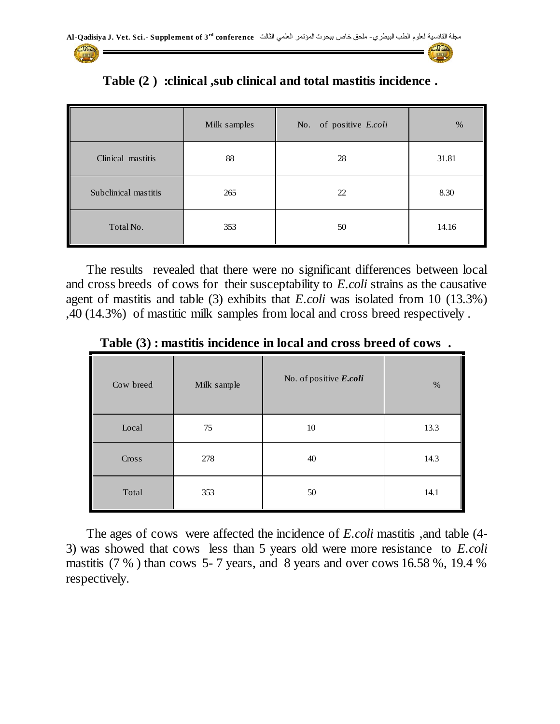

 **Table (2 ) :clinical ,sub clinical and total mastitis incidence .**

 The results revealed that there were no significant differences between local and cross breeds of cows for their susceptability to *E.coli* strains as the causative agent of mastitis and table (3) exhibits that *E.coli* was isolated from 10 (13.3%) ,40 (14.3%) of mastitic milk samples from local and cross breed respectively .

**Table (3) : mastitis incidence in local and cross breed of cows .**

| Cow breed | Milk sample | No. of positive E.coli | $\%$ |
|-----------|-------------|------------------------|------|
| Local     | 75          | 10                     | 13.3 |
| Cross     | 278         | 40                     | 14.3 |
| Total     | 353         | 50                     | 14.1 |

 The ages of cows were affected the incidence of *E.coli* mastitis ,and table (4- 3) was showed that cows less than 5 years old were more resistance to *E.coli* mastitis (7 % ) than cows 5- 7 years, and 8 years and over cows 16.58 %, 19.4 % respectively.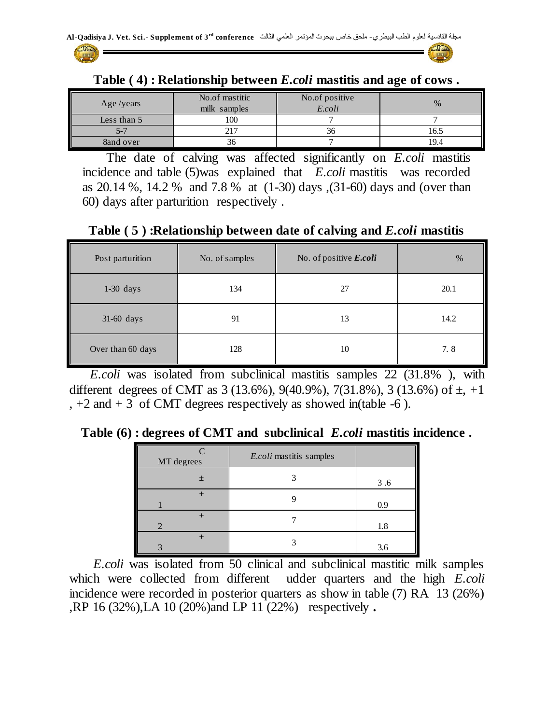



| Age/years   | No.of mastitic<br>milk samples | No.of positive<br>E.coli | $\%$ |
|-------------|--------------------------------|--------------------------|------|
| Less than 5 | 100                            |                          |      |
|             |                                | აი                       | 16.5 |
| 8and over   | эσ                             |                          | 19.4 |

**Table ( 4) : Relationship between** *E.coli* **mastitis and age of cows .**

 The date of calving was affected significantly on *E.coli* mastitis incidence and table (5)was explained that *E.coli* mastitis was recorded as 20.14 %, 14.2 % and 7.8 % at (1-30) days ,(31-60) days and (over than 60) days after parturition respectively .

**Table ( 5 ) :Relationship between date of calving and** *E.coli* **mastitis**

| Post parturition  | No. of samples | No. of positive E.coli | %    |
|-------------------|----------------|------------------------|------|
| $1-30$ days       | 134            | 27                     | 20.1 |
| 31-60 days        | 91             | 13                     | 14.2 |
| Over than 60 days | 128            | 10                     | 7.8  |

 *E.coli* was isolated from subclinical mastitis samples 22 (31.8% ), with different degrees of CMT as  $3(13.6\%)$ ,  $9(40.9\%)$ ,  $7(31.8\%)$ ,  $3(13.6\%)$  of  $\pm$ ,  $+1$  $, +2$  and  $+3$  of CMT degrees respectively as showed in(table -6).

**Table (6) : degrees of CMT and subclinical** *E.coli* **mastitis incidence .**

| MT degrees | E.coli mastitis samples |     |
|------------|-------------------------|-----|
| $\pm$      |                         | 3.6 |
|            |                         | 0.9 |
|            |                         | 1.8 |
|            |                         | 3.6 |

 *E.coli* was isolated from 50 clinical and subclinical mastitic milk samples which were collected from different udder quarters and the high *E.coli* incidence were recorded in posterior quarters as show in table (7) RA 13 (26%) ,RP 16 (32%),LA 10 (20%)and LP 11 (22%) respectively *.*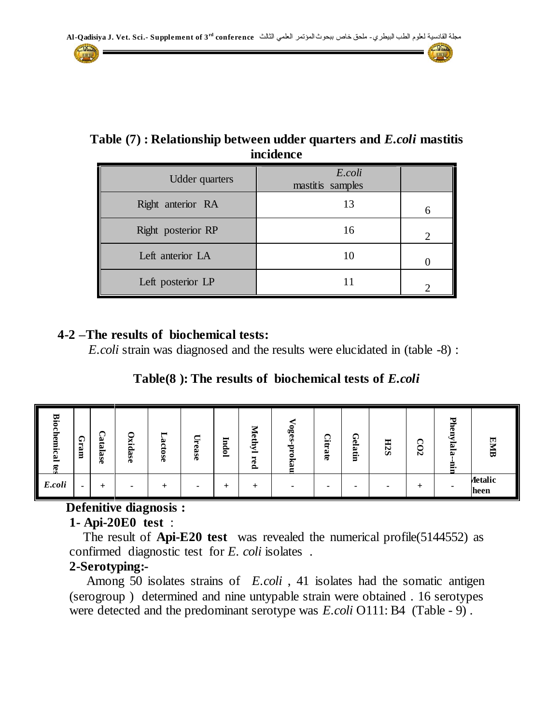## **Table (7) : Relationship between udder quarters and** *E.coli* **mastitis incidence**

| <b>Udder</b> quarters | E.coli<br>mastitis samples |                |
|-----------------------|----------------------------|----------------|
| Right anterior RA     | 13                         | 6              |
| Right posterior RP    | 16                         | $\mathfrak{D}$ |
| Left anterior LA      |                            |                |
| Left posterior LP     |                            |                |

#### **4-2 –The results of biochemical tests:**

*E.coli* strain was diagnosed and the results were elucidated in (table -8) :

**Table(8 ): The results of biochemical tests of** *E.coli*

| <b>Biocl</b><br>$\mathbf{g}$<br>Ε.<br>$\mathbf{E}$<br>Ē | ନ<br>∺<br>ه<br>Ē | ⌒<br>-<br>ڡ<br>亘<br>Ö<br>ھت<br>O. | Oxidase | −<br>ట<br>С<br>-<br>∊<br>Ō.<br>Ð | н<br>ease | ▬<br>5<br>p.<br>◓<br>▬ | 宝<br>œ<br>Ê<br>ت<br>−<br>œ<br>௨ | ٥ę<br>ъ<br>⊏ | Ω.<br>Ę<br>అ<br>ಣ | ∩<br>Φ<br>⋍<br>B<br>ø.<br>ᆸ | <b>H2S</b> | - 4<br>0<br>Ñ | ᄓ<br>Φ<br>lala<br>Е. | <b>EMB</b>      |
|---------------------------------------------------------|------------------|-----------------------------------|---------|----------------------------------|-----------|------------------------|---------------------------------|--------------|-------------------|-----------------------------|------------|---------------|----------------------|-----------------|
| E.coli                                                  |                  |                                   |         |                                  |           | +                      |                                 |              | -                 | ۰                           | ۰          |               | ۰                    | Aetalic<br>heen |

# **Defenitive diagnosis :**

## **1- Api-20E0 test** :

The result of **Api-E20 test** was revealed the numerical profile(5144552) as confirmed diagnostic test for *E. coli* isolates .

# **2-Serotyping:-**

Among 50 isolates strains of *E.coli* , 41 isolates had the somatic antigen (serogroup ) determined and nine untypable strain were obtained . 16 serotypes were detected and the predominant serotype was *E.coli* O111: B4(Table - 9) .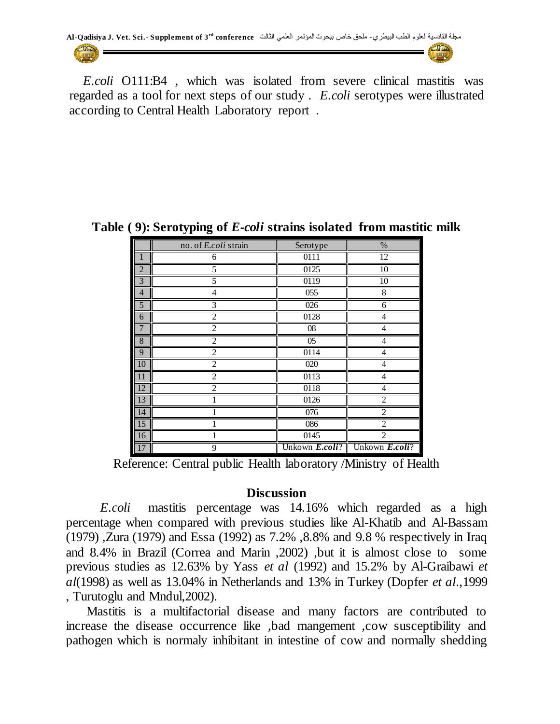

 *E.coli* O111:B4 , which was isolated from severe clinical mastitis was regarded as a tool for next steps of our study . *E.coli* serotypes were illustrated according to Central Health Laboratory report .

|                 | no. of E.coli strain | Serotype          | $\%$                                                                                    |
|-----------------|----------------------|-------------------|-----------------------------------------------------------------------------------------|
| 1               | 6                    | $\overline{011}1$ | $\overline{12}$                                                                         |
| $\overline{2}$  | 5                    | 0125              | 10                                                                                      |
| $\overline{3}$  | 5                    | 0119              | 10                                                                                      |
| $\overline{4}$  | 4                    | 055               | 8                                                                                       |
| 5               | 3                    | 026               | 6                                                                                       |
| 6               | $\overline{2}$       | 0128              | 4                                                                                       |
| $\overline{7}$  | $\overline{2}$       | 08                | 4                                                                                       |
| $\overline{8}$  | $\overline{2}$       | 05                | 4                                                                                       |
| 9               | $\overline{c}$       | 0114              | 4                                                                                       |
| 10              | $\overline{2}$       | 020               | 4                                                                                       |
| 11              | $\overline{c}$       | 0113              | 4                                                                                       |
| 12              | $\mathfrak{D}$       | 0118              | 4                                                                                       |
| 13              |                      | 0126              | $\overline{2}$                                                                          |
| 14              |                      | 076               | 2                                                                                       |
| $\overline{15}$ |                      | 086               | $\overline{c}$                                                                          |
| 16              |                      | 0145              | $\overline{2}$                                                                          |
| 17              | 9                    |                   | Unkown $\boldsymbol{E}.\boldsymbol{coll}$ ? Unkown $\boldsymbol{E}.\boldsymbol{coll}$ ? |

**Table ( 9): Serotyping of** *E-coli* **strains isolated from mastitic milk**

Reference: Central public Health laboratory /Ministry of Health

#### **Discussion**

 *E.coli* mastitis percentage was 14.16% which regarded as a high percentage when compared with previous studies like Al-Khatib and Al-Bassam (1979) ,Zura (1979) and Essa (1992) as 7.2% ,8.8% and 9.8 % respectively in Iraq and 8.4% in Brazil (Correa and Marin ,2002) ,but it is almost close to some previous studies as 12.63% by Yass *et al* (1992) and 15.2% by Al-Graibawi *et al*(1998) as well as 13.04% in Netherlands and 13% in Turkey (Dopfer *et al*.,1999 , Turutoglu and Mndul,2002).

 Mastitis is a multifactorial disease and many factors are contributed to increase the disease occurrence like ,bad mangement ,cow susceptibility and pathogen which is normaly inhibitant in intestine of cow and normally shedding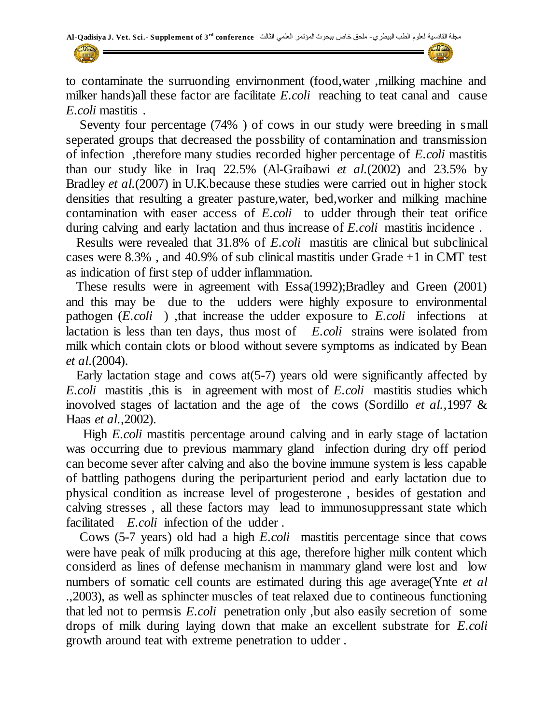to contaminate the surruonding envirnonment (food,water ,milking machine and milker hands)all these factor are facilitate *E.coli* reaching to teat canal and cause *E.coli* mastitis .

 Seventy four percentage (74% ) of cows in our study were breeding in small seperated groups that decreased the possbility of contamination and transmission of infection ,therefore many studies recorded higher percentage of *E.coli* mastitis than our study like in Iraq 22.5% (Al-Graibawi *et al.*(2002) and 23.5% by Bradley *et al.*(2007) in U.K.because these studies were carried out in higher stock densities that resulting a greater pasture,water, bed,worker and milking machine contamination with easer access of *E.coli* to udder through their teat orifice during calving and early lactation and thus increase of *E.coli* mastitis incidence .

 Results were revealed that 31.8% of *E.coli* mastitis are clinical but subclinical cases were 8.3% , and 40.9% of sub clinical mastitis under Grade +1 in CMT test as indication of first step of udder inflammation.

 These results were in agreement with Essa(1992);Bradley and Green (2001) and this may be due to the udders were highly exposure to environmental pathogen (*E.coli* ) ,that increase the udder exposure to *E.coli* infections at lactation is less than ten days, thus most of *E.coli* strains were isolated from milk which contain clots or blood without severe symptoms as indicated by Bean *et al*.(2004).

 Early lactation stage and cows at(5-7) years old were significantly affected by *E.coli* mastitis ,this is in agreement with most of *E.coli* mastitis studies which inovolved stages of lactation and the age of the cows (Sordillo *et al.,*1997 & Haas *et al.,*2002).

High *E.coli* mastitis percentage around calving and in early stage of lactation was occurring due to previous mammary gland infection during dry off period can become sever after calving and also the bovine immune system is less capable of battling pathogens during the periparturient period and early lactation due to physical condition as increase level of progesterone , besides of gestation and calving stresses , all these factors may lead to immunosuppressant state which facilitated *E.coli* infection of the udder .

 Cows (5-7 years) old had a high *E.coli* mastitis percentage since that cows were have peak of milk producing at this age, therefore higher milk content which considerd as lines of defense mechanism in mammary gland were lost and low numbers of somatic cell counts are estimated during this age average(Ynte *et al* .,2003), as well as sphincter muscles of teat relaxed due to contineous functioning that led not to permsis *E.coli* penetration only ,but also easily secretion of some drops of milk during laying down that make an excellent substrate for *E.coli* growth around teat with extreme penetration to udder .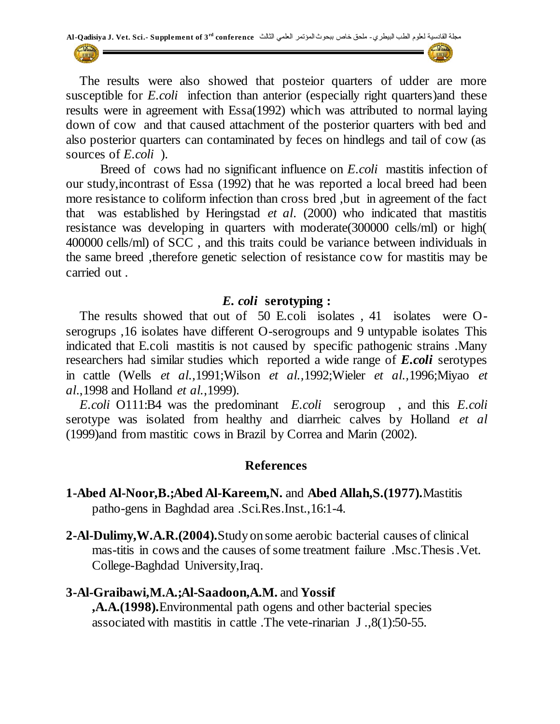The results were also showed that posteior quarters of udder are more susceptible for *E.coli* infection than anterior (especially right quarters)and these results were in agreement with Essa(1992) which was attributed to normal laying down of cow and that caused attachment of the posterior quarters with bed and also posterior quarters can contaminated by feces on hindlegs and tail of cow (as sources of *E.coli* ).

 Breed of cows had no significant influence on *E.coli* mastitis infection of our study,incontrast of Essa (1992) that he was reported a local breed had been more resistance to coliform infection than cross bred ,but in agreement of the fact that was established by Heringstad *et al*. (2000) who indicated that mastitis resistance was developing in quarters with moderate(300000 cells/ml) or high( 400000 cells/ml) of SCC , and this traits could be variance between individuals in the same breed ,therefore genetic selection of resistance cow for mastitis may be carried out .

#### *E. coli* **serotyping :**

 The results showed that out of 50 E.coli isolates , 41 isolates were Oserogrups ,16 isolates have different O-serogroups and 9 untypable isolates This indicated that E.coli mastitis is not caused by specific pathogenic strains .Many researchers had similar studies which reported a wide range of *E.coli* serotypes in cattle (Wells *et al.,*1991;Wilson *et al.,*1992;Wieler *et al.,*1996;Miyao *et al*.,1998 and Holland *et al.*,1999).

 *E.coli* O111:B4 was the predominant *E.coli* serogroup , and this *E.coli*  serotype was isolated from healthy and diarrheic calves by Holland *et al* (1999)and from mastitic cows in Brazil by Correa and Marin (2002).

#### **References**

- **1-Abed Al-Noor,B.;Abed Al-Kareem,N.** and **Abed Allah,S.(1977).**Mastitis patho-gens in Baghdad area .Sci.Res.Inst.,16:1-4.
- **2-Al-Dulimy,W.A.R.(2004).**Study on some aerobic bacterial causes of clinical mas-titis in cows and the causes of some treatment failure .Msc.Thesis .Vet. College-Baghdad University,Iraq.

#### **3-Al-Graibawi,M.A.;Al-Saadoon,A.M.** and **Yossif**

**,A.A.(1998).**Environmental path-ogens and other bacterial species associated with mastitis in cattle .The vete-rinarian J .,8(1):50-55.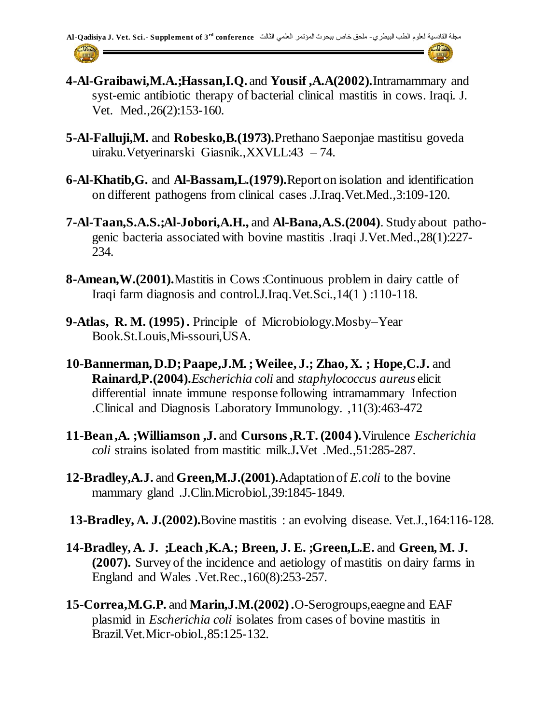- **4-Al-Graibawi,M.A.;Hassan,I.Q.** and **Yousif ,A.A(2002).**Intramammary and syst-emic antibiotic therapy of bacterial clinical mastitis in cows. Iraqi. J. Vet. Med.,26(2):153-160.
- **5-Al-Falluji,M.** and **Robesko,B.(1973).**Prethano Saeponjae mastitisu goveda uiraku.Vetyerinarski Giasnik.,XXVLL:43 – 74.
- **6-Al-Khatib,G.** and **Al-Bassam,L.(1979).**Report on isolation and identification on different pathogens from clinical cases .J.Iraq.Vet.Med.,3:109-120.
- **7-Al-Taan,S.A.S.;Al-Jobori,A.H.,** and **Al-Bana,A.S.(2004)**. Study about pathogenic bacteria associated with bovine mastitis .Iraqi J.Vet.Med.,28(1):227- 234.
- **8-Amean,W.(2001).**Mastitis in Cows :Continuous problem in dairy cattle of Iraqi farm diagnosis and control.J.Iraq.Vet.Sci.,14(1 ) :110-118.
- **9-Atlas, R. M. (1995) .** Principle of Microbiology.Mosby–Year Book.St.Louis,Mi-ssouri,USA.
- **10-Bannerman, D.D; Paape,J.M. ; Weilee, J.; Zhao, X. ; Hope,C.J.** and **Rainard,P.(2004).***Escherichia coli* and *staphylococcus aureus* elicit differential innate immune response following intramammary Infection .Clinical and Diagnosis Laboratory Immunology. ,11(3):463-472
- **11-Bean ,A. ;Williamson ,J.** and **Cursons ,R.T. (2004 ).**Virulence *Escherichia coli* strains isolated from mastitic milk.J**.**Vet .Med.,51:285-287.
- **12-Bradley,A.J.** and **Green,M.J.(2001).**Adaptation of *E.coli* to the bovine mammary gland .J.Clin.Microbiol.,39:1845-1849.
- **13-Bradley, A. J.(2002).**Bovine mastitis : an evolving disease. Vet.J.,164:116-128.
- **14-Bradley, A. J. ;Leach ,K.A.; Breen, J. E. ;Green,L.E.** and **Green, M. J. (2007).** Survey of the incidence and aetiology of mastitis on dairy farms in England and Wales .Vet.Rec.,160(8):253-257.
- **15-Correa,M.G.P.** and **Marin,J.M.(2002) .**O-Serogroups,eaegne and EAF plasmid in *Escherichia coli* isolates from cases of bovine mastitis in Brazil.Vet.Micr-obiol.,85:125-132.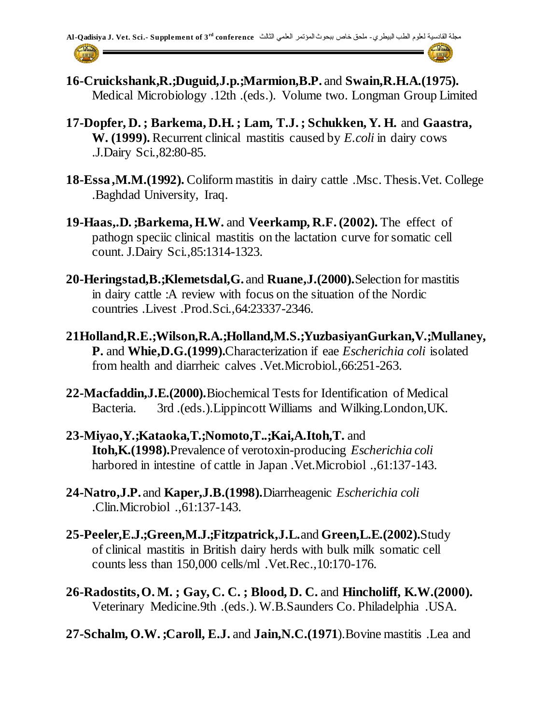- **16-Cruickshank,R.;Duguid,J.p.;Marmion,B.P.** and **Swain,R.H.A.(1975).** Medical Microbiology .12th .(eds.). Volume two. Longman Group Limited
- **17-Dopfer, D. ; Barkema, D.H. ; Lam, T.J. ; Schukken, Y. H.** and **Gaastra, W. (1999).** Recurrent clinical mastitis caused by *E.coli* in dairy cows .J.Dairy Sci.,82:80-85.
- **18-Essa ,M.M.(1992).** Coliform mastitis in dairy cattle .Msc. Thesis.Vet. College .Baghdad University, Iraq.
- **19-Haas,.D. ;Barkema, H.W.** and **Veerkamp, R.F. (2002).** The effect of pathogn speciic clinical mastitis on the lactation curve for somatic cell count. J.Dairy Sci.,85:1314-1323.
- **20-Heringstad,B.;Klemetsdal,G.** and **Ruane,J.(2000).**Selection for mastitis in dairy cattle :A review with focus on the situation of the Nordic countries .Livest .Prod.Sci.,64:23337-2346.
- **21Holland,R.E.;Wilson,R.A.;Holland,M.S.;YuzbasiyanGurkan,V.;Mullaney, P.** and **Whie,D.G.(1999).**Characterization if eae *Escherichia coli* isolated from health and diarrheic calves .Vet.Microbiol.,66:251-263.
- **22-Macfaddin,J.E.(2000).**Biochemical Tests for Identification of Medical Bacteria. 3rd .(eds.).Lippincott Williams and Wilking.London,UK.
- **23-Miyao,Y.;Kataoka,T.;Nomoto,T..;Kai,A.Itoh,T.** and **Itoh,K.(1998).**Prevalence of verotoxin-producing *Escherichia coli* harbored in intestine of cattle in Japan .Vet.Microbiol .,61:137-143.
- **24-Natro,J.P.** and **Kaper,J.B.(1998).**Diarrheagenic *Escherichia coli* .Clin.Microbiol .,61:137-143.
- **25-Peeler,E.J.;Green,M.J.;Fitzpatrick,J.L.**and **Green,L.E.(2002).**Study of clinical mastitis in British dairy herds with bulk milk somatic cell counts less than 150,000 cells/ml .Vet.Rec.,10:170-176.
- **26-Radostits, O. M. ; Gay, C. C. ; Blood, D. C.** and **Hincholiff, K.W.(2000).** Veterinary Medicine.9th .(eds.). W.B.Saunders Co. Philadelphia .USA.
- **27-Schalm, O.W. ;Caroll, E.J.** and **Jain,N.C.(1971**).Bovine mastitis .Lea and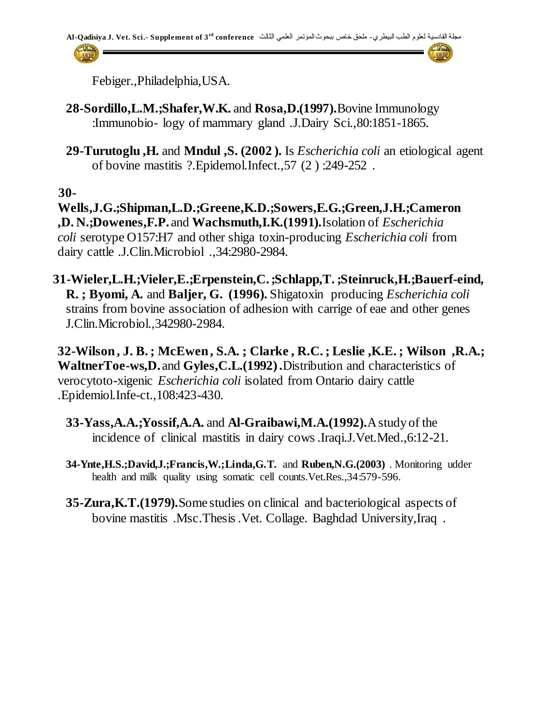

Febiger.,Philadelphia,USA.

- **28-Sordillo,L.M.;Shafer,W.K.** and **Rosa,D.(1997).**Bovine Immunology :Immunobio- logy of mammary gland .J.Dairy Sci.,80:1851-1865.
- **29-Turutoglu ,H.** and **Mndul ,S. (2002 ).** Is *Escherichia coli* an etiological agent of bovine mastitis ?.Epidemol.Infect.,57 (2 ) :249-252 .

 **30-**

**Wells,J.G.;Shipman,L.D.;Greene,K.D.;Sowers,E.G.;Green,J.H.;Cameron ,D. N.;Dowenes,F.P.** and **Wachsmuth,I.K.(1991).**Isolation of *Escherichia coli* serotype O157:H7 and other shiga toxin-producing *Escherichia coli* from dairy cattle .J.Clin.Microbiol .,34:2980-2984.

 **31-Wieler,L.H.;Vieler,E.;Erpenstein,C.;Schlapp,T. ;Steinruck,H.;Bauerf-eind, R. ; Byomi, A.** and **Baljer, G. (1996).** Shigatoxin producing *Escherichia coli* strains from bovine association of adhesion with carrige of eae and other genes J.Clin.Microbiol.,342980-2984.

**32-Wilson, J. B. ; McEwen, S.A. ; Clarke , R.C. ; Leslie ,K.E. ; Wilson ,R.A.; WaltnerToe-ws,D.** and **Gyles,C.L.(1992) .**Distribution and characteristics of verocytoto-xigenic *Escherichia coli* isolated from Ontario dairy cattle .Epidemiol.Infe-ct.,108:423-430.

- **33-Yass,A.A.;Yossif,A.A.** and **Al-Graibawi,M.A.(1992).**A study of the incidence of clinical mastitis in dairy cows .Iraqi.J.Vet.Med.,6:12-21.
- **34-Ynte,H.S.;David,J.;Francis,W.;Linda,G.T.** and **Ruben,N.G.(2003)** . Monitoring udder health and milk quality using somatic cell counts.Vet.Res.,34:579-596.
- **35-Zura,K.T.(1979).**Some studies on clinical and bacteriological aspects of bovine mastitis .Msc.Thesis .Vet. Collage. Baghdad University,Iraq .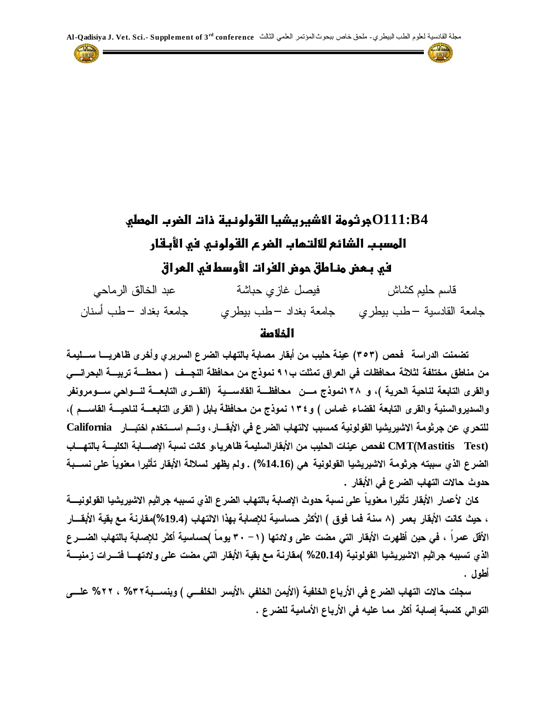مجلة القادسية لعلوم الطب البيطري- ملحق خاص ببحوث المؤتمر العلمي الثالث **3 of Supplement .-Sci .Vet .J Qadisiya-Al rd conference**



| عبد الخالق الرماحي    | فيصل غازي حباشة | قاسم حليم كشاش                                  |
|-----------------------|-----------------|-------------------------------------------------|
| جامعة بغداد –طب أسنان |                 | جامعة القادسية –طب بيطري مجامعة بغداد –طب بيطري |

#### **الخالصظ**

تضمنت الدراسة فحص (٣٥٣) عينة حليب من أبقار مصابة بالتهاب الضرع السريرى وأخرى ظاهريــــا ســــليمة من مناطق مختلفة لثلاثة محافظات في العراق تمثلت ب٩١ نموذج من محافظة النجــف ( محطـــة تربيـــة البحرانـــي والقرى التابعة لناحية الحرية )، و ٢٨ انموذج مـــن محافظـــة القادســـية (القـــرى التابعـــة لنـــواحى ســـومرونفر والسديروالسنية والقرى التابعة لقضاء غماس ) و١٣٤ نموذج من محافظة بابل ( القرى التابعـــة لناحيـــة القاســـم )، للتحري عن جرثومة الاشيريشيا القولونية كمسبب لالتهاب الضرع في الأبقـــار، وتـــم اســـتخدم اختبـــار California **CMT Mastitis Test)** الضرع الذي سببته جرثومة الاشيريشيا القولونية هي (14.16%) . ولم يظهر لسلالة الأبقار تأثيرا معنوياً عل*ى* نســبة حدوث حالات التهاب الضرع ف*ي* الأبقار .

كان لأعمار الأبقار تأثيرا معنوياً على نسبة حدوث الإصابة بالتهاب الضرع الذي تسببه جراثيم الاشيريشيا القولونيـــة ، حيث كانت الأبقار بعمر (٨ سنة فما فوق ) الأكثر حساسية للإصابة بهذا الالتهاب (19.4%)مقارنة مع بقية الأبقـــار الأقل عمراً ، في حين أظهرت الأبقار التي مضت على ولادتها (١ - ٣٠ يوماً )حساسية أكثر للإصابة بالتهاب الضـــرع الذي تسببه جراثيم الاشيريشيا القولونية (20.14% )مقا*ر*نة مع بقية الأبقار الت*ي* مضت على ولا*د*تهـــا فتـــرات زمنيـــة أطول .

سجلت حالات التهاب الضرع في الأرباع الخلفية (الأيمن الخلفي ،الأيسر الخلفــي ) وبنســبـة٣٢% ، ٢٢% علـــي التوالي كنسبة إصابة أكثر مما عليه في الأرباع الأمامية للضرع .